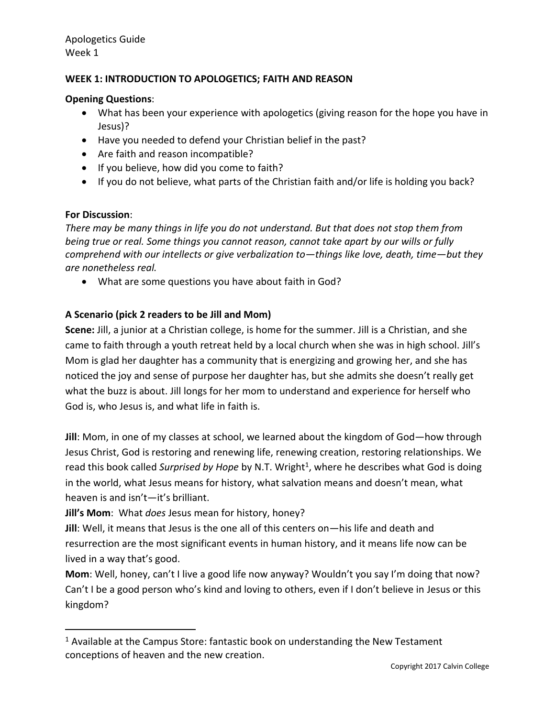# **WEEK 1: INTRODUCTION TO APOLOGETICS; FAITH AND REASON**

#### **Opening Questions**:

- What has been your experience with apologetics (giving reason for the hope you have in Jesus)?
- Have you needed to defend your Christian belief in the past?
- Are faith and reason incompatible?
- If you believe, how did you come to faith?
- If you do not believe, what parts of the Christian faith and/or life is holding you back?

#### **For Discussion**:

 $\overline{a}$ 

*There may be many things in life you do not understand. But that does not stop them from being true or real. Some things you cannot reason, cannot take apart by our wills or fully comprehend with our intellects or give verbalization to—things like love, death, time—but they are nonetheless real.* 

What are some questions you have about faith in God?

## **A Scenario (pick 2 readers to be Jill and Mom)**

**Scene:** Jill, a junior at a Christian college, is home for the summer. Jill is a Christian, and she came to faith through a youth retreat held by a local church when she was in high school. Jill's Mom is glad her daughter has a community that is energizing and growing her, and she has noticed the joy and sense of purpose her daughter has, but she admits she doesn't really get what the buzz is about. Jill longs for her mom to understand and experience for herself who God is, who Jesus is, and what life in faith is.

**Jill**: Mom, in one of my classes at school, we learned about the kingdom of God—how through Jesus Christ, God is restoring and renewing life, renewing creation, restoring relationships. We read this book called Surprised by Hope by N.T. Wright<sup>1</sup>, where he describes what God is doing in the world, what Jesus means for history, what salvation means and doesn't mean, what heaven is and isn't—it's brilliant.

**Jill's Mom**: What *does* Jesus mean for history, honey?

**Jill**: Well, it means that Jesus is the one all of this centers on—his life and death and resurrection are the most significant events in human history, and it means life now can be lived in a way that's good.

**Mom**: Well, honey, can't I live a good life now anyway? Wouldn't you say I'm doing that now? Can't I be a good person who's kind and loving to others, even if I don't believe in Jesus or this kingdom?

 $1$  Available at the Campus Store: fantastic book on understanding the New Testament conceptions of heaven and the new creation.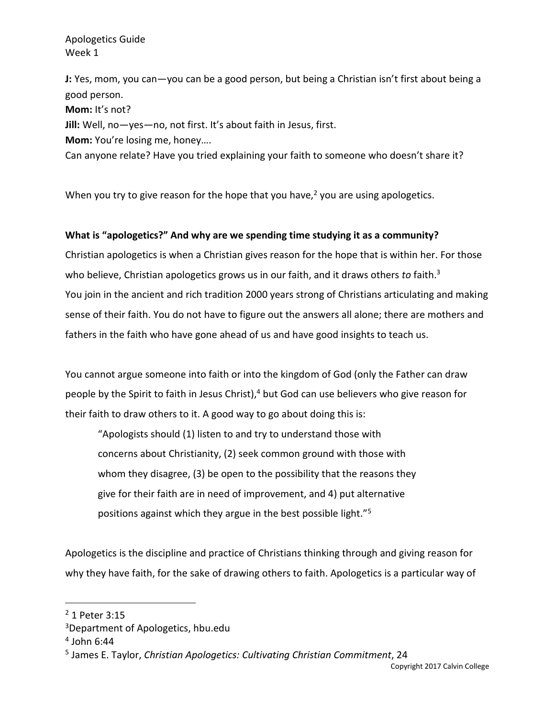**J:** Yes, mom, you can—you can be a good person, but being a Christian isn't first about being a good person.

**Mom:** It's not?

**Jill:** Well, no—yes—no, not first. It's about faith in Jesus, first.

**Mom:** You're losing me, honey….

Can anyone relate? Have you tried explaining your faith to someone who doesn't share it?

When you try to give reason for the hope that you have, $2$  you are using apologetics.

## **What is "apologetics?" And why are we spending time studying it as a community?**

Christian apologetics is when a Christian gives reason for the hope that is within her. For those who believe, Christian apologetics grows us in our faith, and it draws others *to* faith.<sup>3</sup> You join in the ancient and rich tradition 2000 years strong of Christians articulating and making sense of their faith. You do not have to figure out the answers all alone; there are mothers and fathers in the faith who have gone ahead of us and have good insights to teach us.

You cannot argue someone into faith or into the kingdom of God (only the Father can draw people by the Spirit to faith in Jesus Christ),<sup>4</sup> but God can use believers who give reason for their faith to draw others to it. A good way to go about doing this is:

"Apologists should (1) listen to and try to understand those with concerns about Christianity, (2) seek common ground with those with whom they disagree, (3) be open to the possibility that the reasons they give for their faith are in need of improvement, and 4) put alternative positions against which they argue in the best possible light."<sup>5</sup>

Apologetics is the discipline and practice of Christians thinking through and giving reason for why they have faith, for the sake of drawing others to faith. Apologetics is a particular way of

<sup>2</sup> 1 Peter 3:15

<sup>3</sup>Department of Apologetics, hbu.edu

<sup>4</sup> John 6:44

<sup>5</sup> James E. Taylor, *Christian Apologetics: Cultivating Christian Commitment*, 24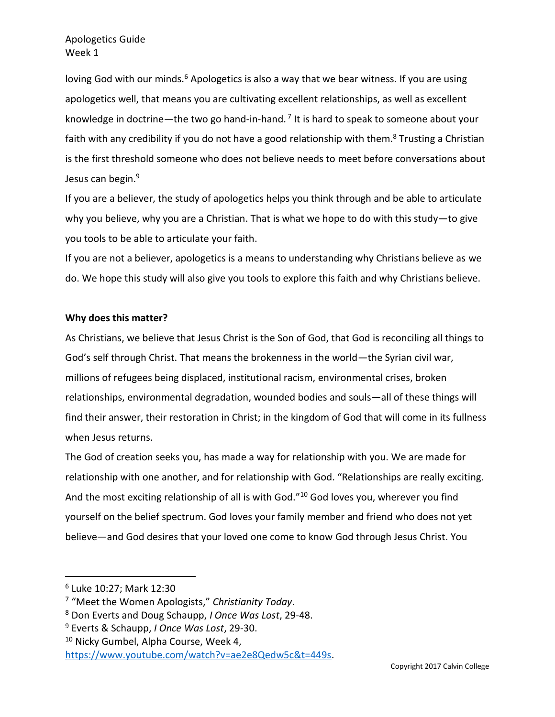loving God with our minds.<sup>6</sup> Apologetics is also a way that we bear witness. If you are using apologetics well, that means you are cultivating excellent relationships, as well as excellent knowledge in doctrine—the two go hand-in-hand.<sup>7</sup> It is hard to speak to someone about your faith with any credibility if you do not have a good relationship with them.<sup>8</sup> Trusting a Christian is the first threshold someone who does not believe needs to meet before conversations about Jesus can begin.<sup>9</sup>

If you are a believer, the study of apologetics helps you think through and be able to articulate why you believe, why you are a Christian. That is what we hope to do with this study—to give you tools to be able to articulate your faith.

If you are not a believer, apologetics is a means to understanding why Christians believe as we do. We hope this study will also give you tools to explore this faith and why Christians believe.

#### **Why does this matter?**

As Christians, we believe that Jesus Christ is the Son of God, that God is reconciling all things to God's self through Christ. That means the brokenness in the world—the Syrian civil war, millions of refugees being displaced, institutional racism, environmental crises, broken relationships, environmental degradation, wounded bodies and souls—all of these things will find their answer, their restoration in Christ; in the kingdom of God that will come in its fullness when Jesus returns.

The God of creation seeks you, has made a way for relationship with you. We are made for relationship with one another, and for relationship with God. "Relationships are really exciting. And the most exciting relationship of all is with God."<sup>10</sup> God loves you, wherever you find yourself on the belief spectrum. God loves your family member and friend who does not yet believe—and God desires that your loved one come to know God through Jesus Christ. You

<sup>6</sup> Luke 10:27; Mark 12:30

<sup>7</sup> "Meet the Women Apologists," *Christianity Today*.

<sup>8</sup> Don Everts and Doug Schaupp, *I Once Was Lost*, 29-48.

<sup>9</sup> Everts & Schaupp, *I Once Was Lost*, 29-30.

<sup>&</sup>lt;sup>10</sup> Nicky Gumbel, Alpha Course, Week 4,

[https://www.youtube.com/watch?v=ae2e8Qedw5c&t=449s.](https://www.youtube.com/watch?v=ae2e8Qedw5c&t=449s)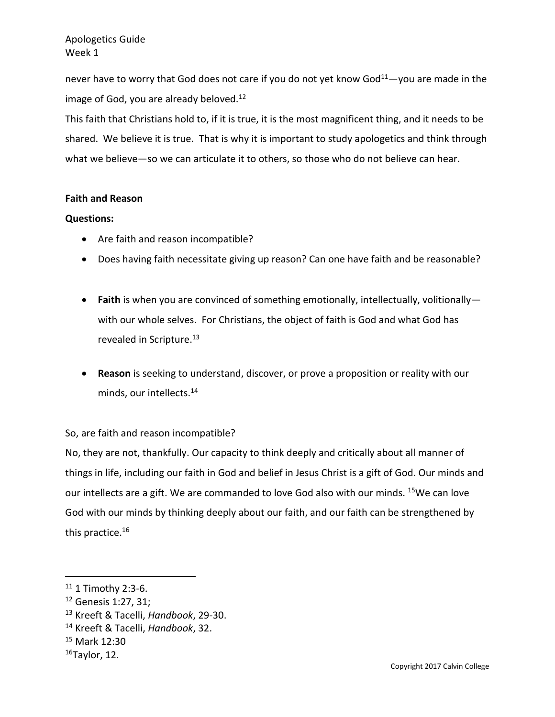never have to worry that God does not care if you do not yet know  $God<sup>11</sup>$  you are made in the image of God, you are already beloved.<sup>12</sup>

This faith that Christians hold to, if it is true, it is the most magnificent thing, and it needs to be shared. We believe it is true. That is why it is important to study apologetics and think through what we believe—so we can articulate it to others, so those who do not believe can hear.

#### **Faith and Reason**

#### **Questions:**

- Are faith and reason incompatible?
- Does having faith necessitate giving up reason? Can one have faith and be reasonable?
- **Faith** is when you are convinced of something emotionally, intellectually, volitionally with our whole selves. For Christians, the object of faith is God and what God has revealed in Scripture.<sup>13</sup>
- **Reason** is seeking to understand, discover, or prove a proposition or reality with our minds, our intellects.<sup>14</sup>

### So, are faith and reason incompatible?

No, they are not, thankfully. Our capacity to think deeply and critically about all manner of things in life, including our faith in God and belief in Jesus Christ is a gift of God. Our minds and our intellects are a gift. We are commanded to love God also with our minds. <sup>15</sup>We can love God with our minds by thinking deeply about our faith, and our faith can be strengthened by this practice.<sup>16</sup>

 $11$  1 Timothy 2:3-6.

<sup>12</sup> Genesis 1:27, 31;

<sup>13</sup> Kreeft & Tacelli, *Handbook*, 29-30.

<sup>14</sup> Kreeft & Tacelli, *Handbook*, 32.

<sup>15</sup> Mark 12:30

 $16$ Taylor, 12.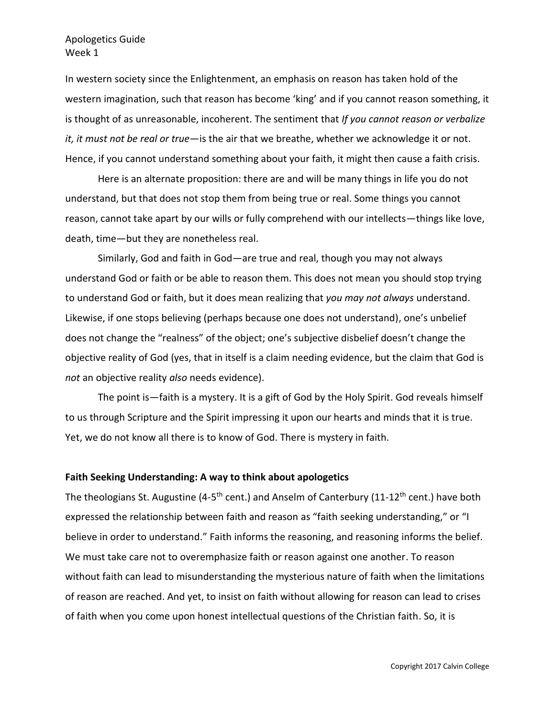In western society since the Enlightenment, an emphasis on reason has taken hold of the western imagination, such that reason has become 'king' and if you cannot reason something, it is thought of as unreasonable, incoherent. The sentiment that *If you cannot reason or verbalize it, it must not be real or true*—is the air that we breathe, whether we acknowledge it or not. Hence, if you cannot understand something about your faith, it might then cause a faith crisis.

Here is an alternate proposition: there are and will be many things in life you do not understand, but that does not stop them from being true or real. Some things you cannot reason, cannot take apart by our wills or fully comprehend with our intellects—things like love, death, time—but they are nonetheless real.

Similarly, God and faith in God—are true and real, though you may not always understand God or faith or be able to reason them. This does not mean you should stop trying to understand God or faith, but it does mean realizing that *you may not always* understand. Likewise, if one stops believing (perhaps because one does not understand), one's unbelief does not change the "realness" of the object; one's subjective disbelief doesn't change the objective reality of God (yes, that in itself is a claim needing evidence, but the claim that God is *not* an objective reality *also* needs evidence).

The point is—faith is a mystery. It is a gift of God by the Holy Spirit. God reveals himself to us through Scripture and the Spirit impressing it upon our hearts and minds that it is true. Yet, we do not know all there is to know of God. There is mystery in faith.

#### **Faith Seeking Understanding: A way to think about apologetics**

The theologians St. Augustine (4-5<sup>th</sup> cent.) and Anselm of Canterbury (11-12<sup>th</sup> cent.) have both expressed the relationship between faith and reason as "faith seeking understanding," or "I believe in order to understand." Faith informs the reasoning, and reasoning informs the belief. We must take care not to overemphasize faith or reason against one another. To reason without faith can lead to misunderstanding the mysterious nature of faith when the limitations of reason are reached. And yet, to insist on faith without allowing for reason can lead to crises of faith when you come upon honest intellectual questions of the Christian faith. So, it is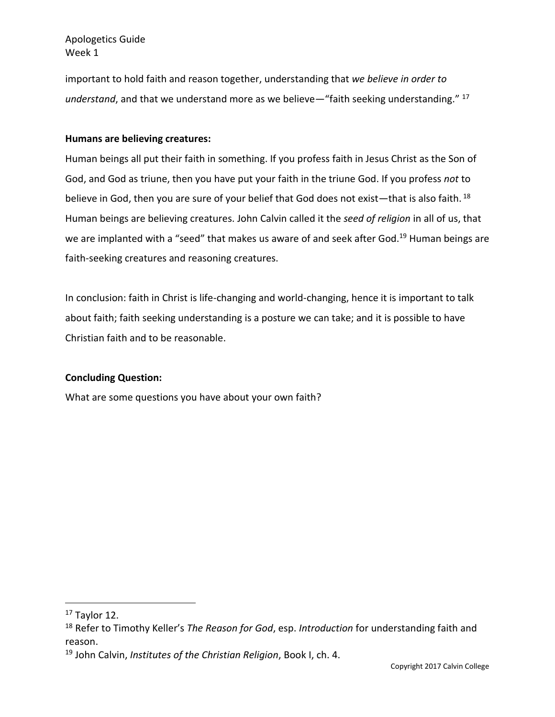important to hold faith and reason together, understanding that *we believe in order to understand*, and that we understand more as we believe—"faith seeking understanding." <sup>17</sup>

#### **Humans are believing creatures:**

Human beings all put their faith in something. If you profess faith in Jesus Christ as the Son of God, and God as triune, then you have put your faith in the triune God. If you profess *not* to believe in God, then you are sure of your belief that God does not exist—that is also faith. <sup>18</sup> Human beings are believing creatures. John Calvin called it the *seed of religion* in all of us, that we are implanted with a "seed" that makes us aware of and seek after God.<sup>19</sup> Human beings are faith-seeking creatures and reasoning creatures.

In conclusion: faith in Christ is life-changing and world-changing, hence it is important to talk about faith; faith seeking understanding is a posture we can take; and it is possible to have Christian faith and to be reasonable.

### **Concluding Question:**

What are some questions you have about your own faith?

 $17$  Taylor 12.

<sup>18</sup> Refer to Timothy Keller's *The Reason for God*, esp. *Introduction* for understanding faith and reason.

<sup>19</sup> John Calvin, *Institutes of the Christian Religion*, Book I, ch. 4.